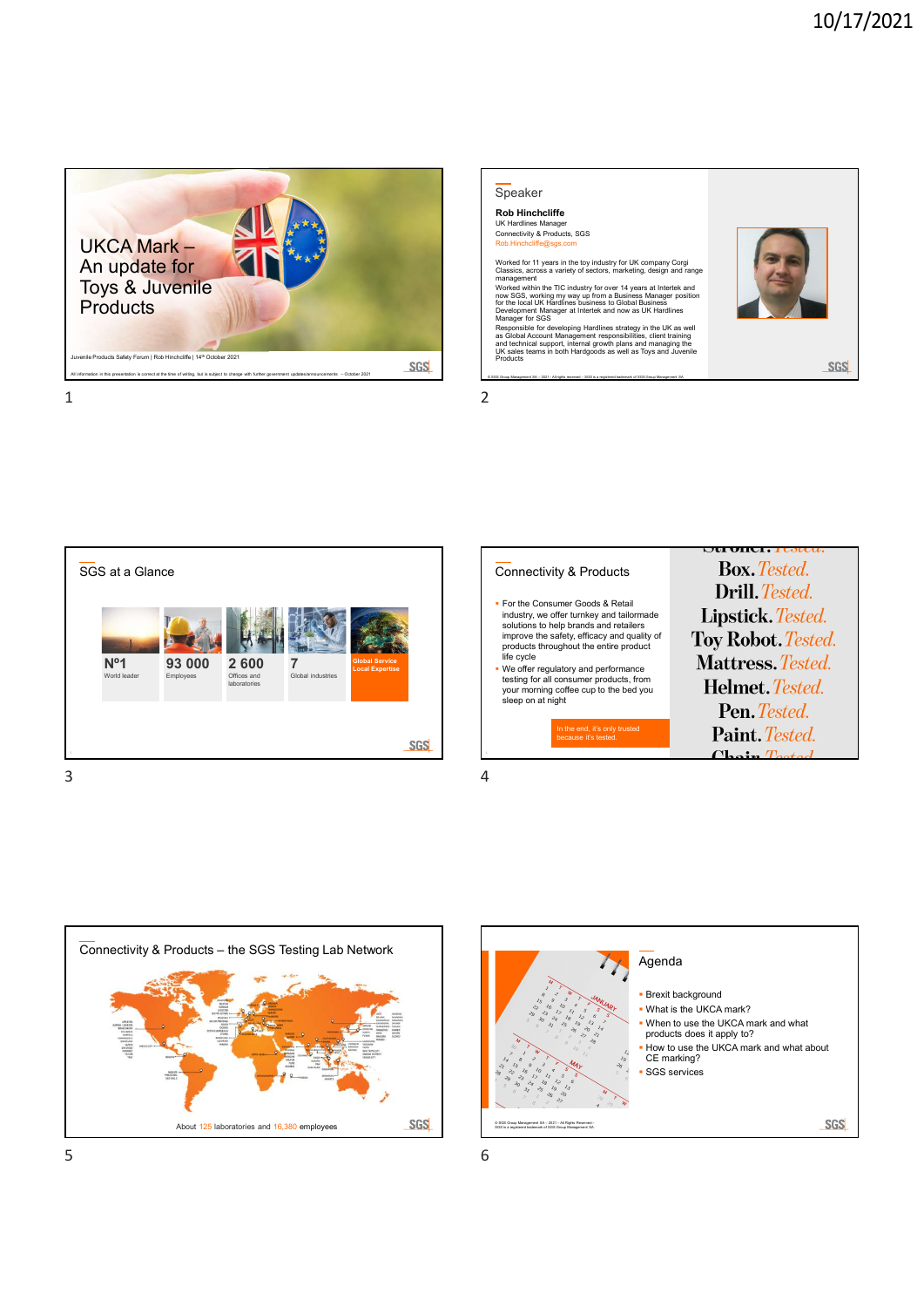



![](_page_0_Figure_4.jpeg)

|                                                                                                                                                                                                                                                                                                                                                                                                                                             | елямного годовы                                                                                                                                                         |
|---------------------------------------------------------------------------------------------------------------------------------------------------------------------------------------------------------------------------------------------------------------------------------------------------------------------------------------------------------------------------------------------------------------------------------------------|-------------------------------------------------------------------------------------------------------------------------------------------------------------------------|
| <b>Connectivity &amp; Products</b>                                                                                                                                                                                                                                                                                                                                                                                                          | <b>Box.</b> Tested.                                                                                                                                                     |
| • For the Consumer Goods & Retail<br>industry, we offer turnkey and tailormade<br>solutions to help brands and retailers<br>improve the safety, efficacy and quality of<br>products throughout the entire product<br>life cycle<br>. We offer regulatory and performance<br>testing for all consumer products, from<br>your morning coffee cup to the bed you<br>sleep on at night<br>In the end, it's only trusted<br>because it's tested. | <b>Drill</b> . <i>Tested.</i><br>Lipstick. Tested.<br><b>Toy Robot.</b> Tested.<br><b>Mattress.</b> Tested.<br><b>Helmet.</b> Tested.<br>Pen. Tested.<br>Paint. Tested. |
|                                                                                                                                                                                                                                                                                                                                                                                                                                             |                                                                                                                                                                         |

![](_page_0_Figure_6.jpeg)

![](_page_0_Figure_7.jpeg)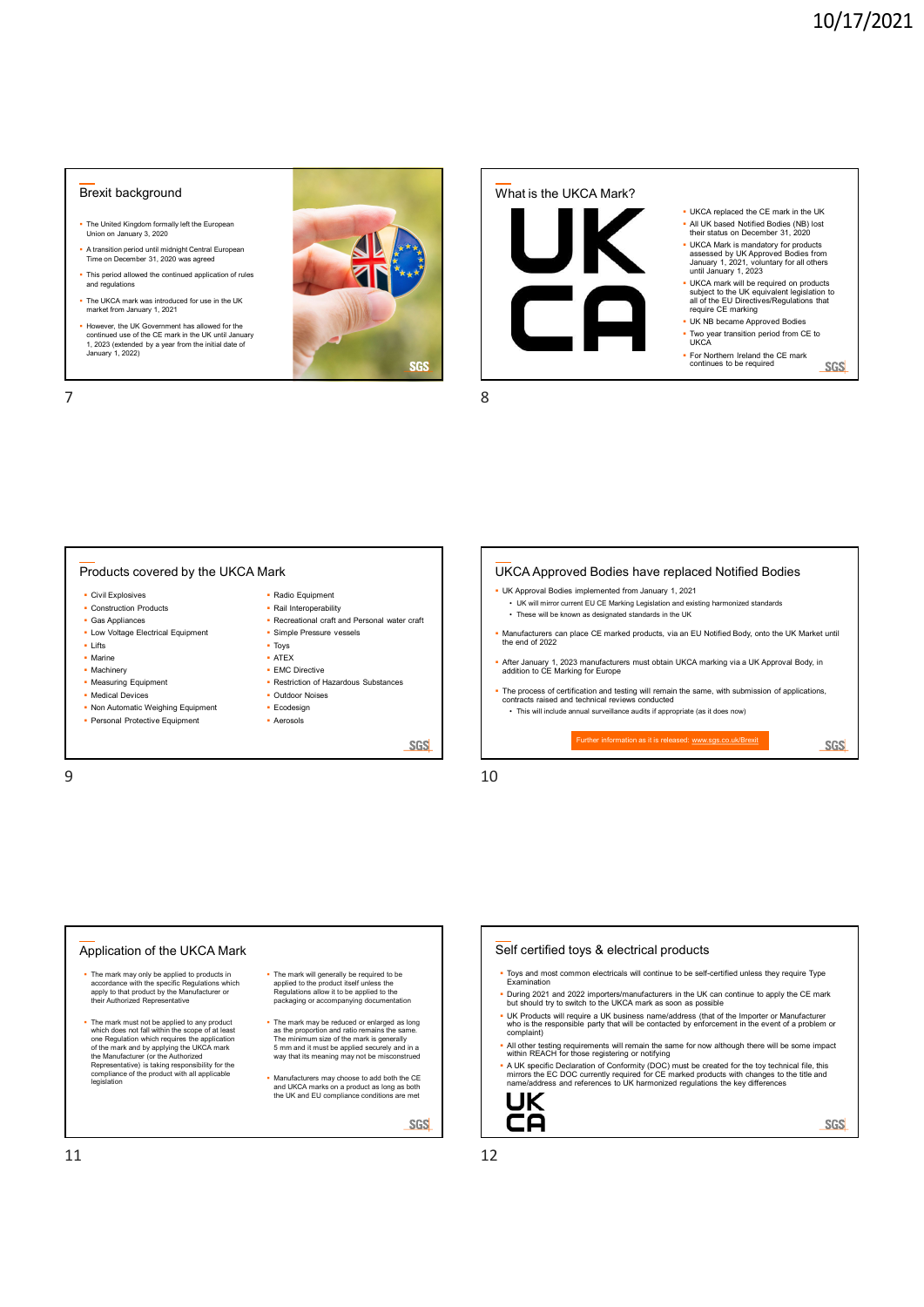# Brexit background

- The United Kingdom formally left the European Union on January 3, 2020
- 
- This period allowed the continued application of rules and regulations
- The UKCA mark was introduced for use in the UK market from January 1, 2021
- However, the UK Government has allowed for the continued use of the CE mark in the UK until January 1, 2023 (extended by a year from the initial date of January 1, 2022)

![](_page_1_Picture_7.jpeg)

Brexit background<br>
The United Stoppen formula entire distribution period until middle entire distribution period until middle entire distribution period until middle entire distribution period until middle entire distribu UKCA replaced the CE mark in the UK All UK based Notified Bodies (NB) lost their status on December 31, 2020 UKCA Mark is mandatory for products assessed by UK Approved Bodies from January 1, 2021, voluntary for all others until January 1, 2023 UKCA mark will be required on products subject to the UK equivalent legislation to<br>all of the EU Directives/Regulations that<br>require CE marking UK NB became Approved Bodies Two year transition period from CE to UKCA • For Northern Ireland the CE mark<br>continues to be required What is the UKCA Mark? • UKCA replaced the CE marking the Butlett (NB) is the Marking Hosting ISolicity for products<br>
• UKCA Marking Harmonized Standard (NB) reproduces<br>
• UKCA marking Harmonized Standard International<br>
• UKCA marking Marking Ma • UK Air pelacod ho CE main the UK Air and the translation of the UK Airport Block in the UK air and the UK air and the UK air and the UK air and the UK air and the UK air and the UK air and the UK air and the UK air and exame of the company of the company of the company of the company of the company of the company of the company of the company of the company of the company of the company of the control of the control of the control o  $\frac{10/17/2021}{\text{S  
Fermi Stadogramed}}$ 

# **Products covered by the UKCA Mark UKCA Approved Bodies have replaced Notified Bodies<br>
• Construction Products<br>
• Construction Products<br>
• Construction Products<br>
• Construction Product Construction of Hazardous Substances** 7<br>
Products covered by the UKCA Mark<br>
Consideration and the construction of the construction of the construction<br>
Consideration and the construction of the construction and the construction and the construction and the c

- Civil Explosives Radio Equipment
- Construction Products **Construction Products Construction Products Construction Products**
- Gas Appliances
- Low Voltage Electrical Equipment - Lifts **Carl Property Contains Container** Toys
- 
- 
- **Measuring Equipment**
- **Medical Devices**
- Non Automatic Weighing Equipment Ecodesign
- Personal Protective Equipment Aerosols
- Marine <br>- ATEX<br>- Machinery EMC I - EMC Directive **Simple Pressure vessels** ATEX **ATEX** , an the Secret Tranuary 1, 2023 manufacturers must obtain UKCA marking via a UK Approval Body, in and the Secret Tranuary 1, 2023 manufacturers must obtain UKCA marking via a UK Approval Body, in and the secret of a did
	- **Restriction of Hazardous Substances**
	- Outdoor Noises

**Recreational craft and Personal water craft** 

- 
- 

Toys

- 
- one Regulation which requires the UKCA mark<br>of the Manufacturer (or the Authorized<br>the Manufacturer (or the Authorized<br>Representative) is taking responsibility for the compliance of the product with all applicable<br>legislation Application of the UKCA Mark spectros in the material spectros in the spectros of the product be representation with the spectros of the product is the product in the spectros of the product is the spectros of the product 9<br>
Application of the UKCA Mark<br>  $\frac{1}{2}$  and  $\frac{1}{2}$  contribution is equivalent to example the state.<br>  $\frac{1}{2}$  and  $\frac{1}{2}$  and  $\frac{1}{2}$  and  $\frac{1}{2}$  and  $\frac{1}{2}$  and  $\frac{1}{2}$  and  $\frac{1}{2}$  and  $\frac{1}{2}$  and  $\$ 
	- The mark may only be applied to products in the mark will generally be required to be<br>accordance with the specific Regulations which applied to the mark product by the Manufacturer or<br>their Authorized Representative<br>their
	- The mark must not be applied to any product within does not fall within the scope of at least one Regulation which requires the application of the mark and by applying the UKCA mark of the mark and by applying the UKCA mar
		- Manufacturers may choose to add both the CE and UKCA marks on a product as long as both the UK and EU compliance conditions are met

• The mark will generally be required to be<br>applied to the product lited fundes the state of the state of the state of the state of the state of the mark<br>Regulations allow it to be applied to the<br>packaging or accompanying Toys and most common electricals will continue to be self-certified unless they require Type Examination

... where the current EU CE Marking Legislation and existing harmonized standards<br>• UK will mirror current EU CE Marking Legislation and existing harmonized standards<br>• These will be known as designated standards in the UK

The process of certification and testing will remain the same, with submission of applications, contracts raised and technical reviews conducted

Manufacturers can place CE marked products, via an EU Notified Body, onto the UK Market until the end of 2022

UK Approval Bodies implemented from January 1, 2021

• This will include annual surveillance audits if appropriate (as it does now)

- 
- The mark may be reduced or enlarged as long<br>
a the proportion and ratio remains the same. The minimum size of the mark is generally<br>
The minimum size of the mark is generally<br>
is mm and it must be applied securely and i UK Products will require a UK business name/address (that of the Importer or Manufacturer who is the responsible party that will be contacted by enforcement in the event of a problem or complaint)
	-
	- A UK specific Declaration of Conformity (DOC) must be created for the toy technical file, this<br>mirrors the EC DOC currently required for CE marked products with changes to the title and<br>name/address and references to UK

![](_page_1_Picture_41.jpeg)